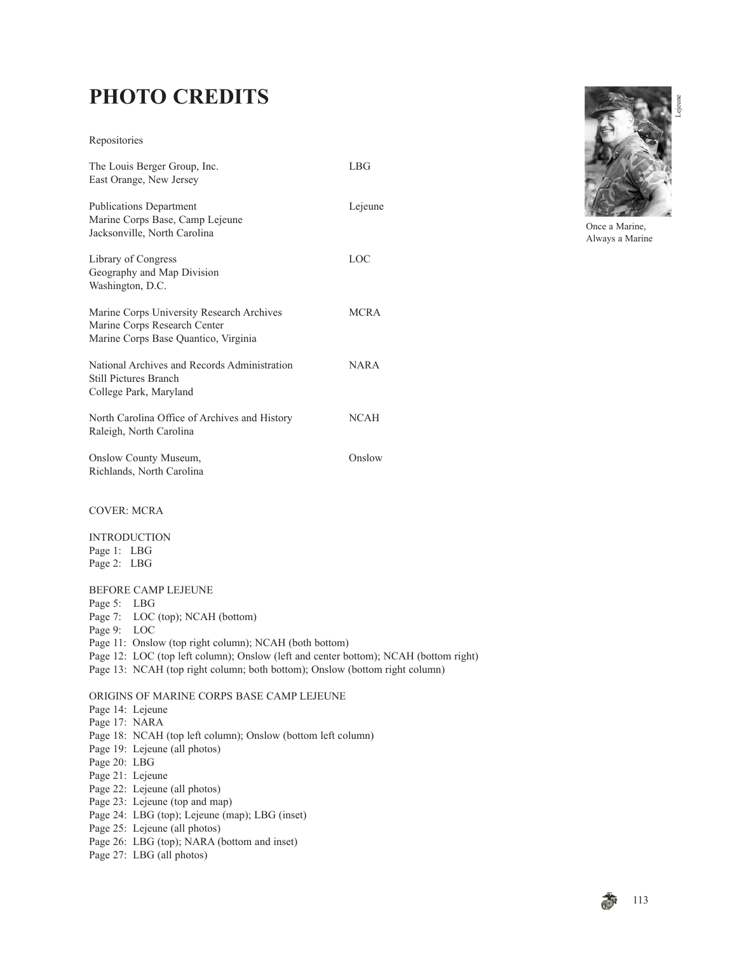## **PHOTO CREDITS**

## Repositories

| The Louis Berger Group, Inc.<br>East Orange, New Jersey                                                           | LBG         |
|-------------------------------------------------------------------------------------------------------------------|-------------|
| <b>Publications Department</b><br>Marine Corps Base, Camp Lejeune<br>Jacksonville, North Carolina                 | Lejeune     |
| Library of Congress<br>Geography and Map Division<br>Washington, D.C.                                             | LOC         |
| Marine Corps University Research Archives<br>Marine Corps Research Center<br>Marine Corps Base Quantico, Virginia | <b>MCRA</b> |
| National Archives and Records Administration<br><b>Still Pictures Branch</b><br>College Park, Maryland            | <b>NARA</b> |
| North Carolina Office of Archives and History<br>Raleigh, North Carolina                                          | <b>NCAH</b> |
| Onslow County Museum,<br>Richlands, North Carolina                                                                | Onslow      |
| <b>COVER: MCRA</b>                                                                                                |             |



Once a Marine, Always a Marine

INTRODUCTION Page 1: LBG Page 2: LBG

## BEFORE CAMP LEJEUNE

Page 5: LBG

- Page 7: LOC (top); NCAH (bottom)
- Page 9: LOC
- Page 11: Onslow (top right column); NCAH (both bottom)
- Page 12: LOC (top left column); Onslow (left and center bottom); NCAH (bottom right)
- Page 13: NCAH (top right column; both bottom); Onslow (bottom right column)

## ORIGINS OF MARINE CORPS BASE CAMP LEJEUNE

- Page 14: Lejeune
- Page 17: NARA
- Page 18: NCAH (top left column); Onslow (bottom left column)
- Page 19: Lejeune (all photos)
- Page 20: LBG
- Page 21: Lejeune
- Page 22: Lejeune (all photos)
- Page 23: Lejeune (top and map)
- Page 24: LBG (top); Lejeune (map); LBG (inset)
- Page 25: Lejeune (all photos)
- Page 26: LBG (top); NARA (bottom and inset)
- Page 27: LBG (all photos)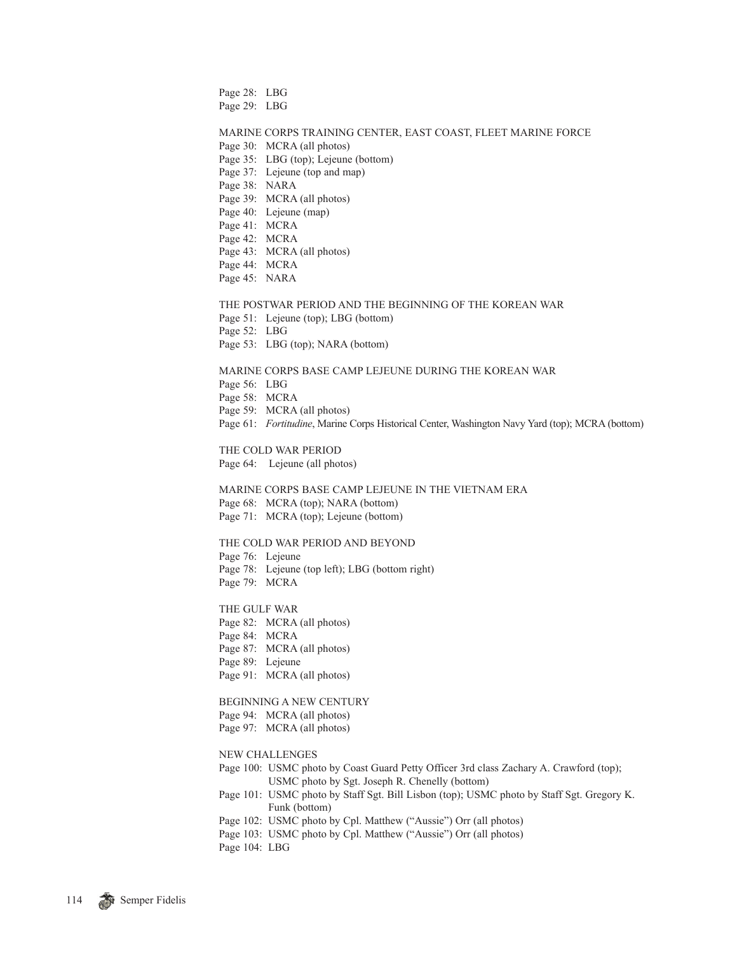Page 28: LBG Page 29: LBG MARINE CORPS TRAINING CENTER, EAST COAST, FLEET MARINE FORCE Page 30: MCRA (all photos) Page 35: LBG (top); Lejeune (bottom) Page 37: Lejeune (top and map) Page 38: NARA Page 39: MCRA (all photos) Page 40: Lejeune (map) Page 41: MCRA Page 42: MCRA Page 43: MCRA (all photos) Page 44: MCRA Page 45: NARA THE POSTWAR PERIOD AND THE BEGINNING OF THE KOREAN WAR Page 51: Lejeune (top); LBG (bottom) Page 52: LBG Page 53: LBG (top); NARA (bottom) MARINE CORPS BASE CAMP LEJEUNE DURING THE KOREAN WAR Page 56: LBG Page 58: MCRA Page 59: MCRA (all photos) Page 61: *Fortitudine*, Marine Corps Historical Center, Washington Navy Yard (top); MCRA (bottom) THE COLD WAR PERIOD Page 64: Lejeune (all photos) MARINE CORPS BASE CAMP LEJEUNE IN THE VIETNAM ERA Page 68: MCRA (top); NARA (bottom) Page 71: MCRA (top); Lejeune (bottom) THE COLD WAR PERIOD AND BEYOND Page 76: Lejeune Page 78: Lejeune (top left); LBG (bottom right) Page 79: MCRA THE GULF WAR Page 82: MCRA (all photos) Page 84: MCRA Page 87: MCRA (all photos) Page 89: Lejeune Page 91: MCRA (all photos) BEGINNING A NEW CENTURY Page 94: MCRA (all photos) Page 97: MCRA (all photos) NEW CHALLENGES

- Page 100: USMC photo by Coast Guard Petty Officer 3rd class Zachary A. Crawford (top); USMC photo by Sgt. Joseph R. Chenelly (bottom)
- Page 101: USMC photo by Staff Sgt. Bill Lisbon (top); USMC photo by Staff Sgt. Gregory K. Funk (bottom)
- Page 102: USMC photo by Cpl. Matthew ("Aussie") Orr (all photos)
- Page 103: USMC photo by Cpl. Matthew ("Aussie") Orr (all photos)
- Page 104: LBG